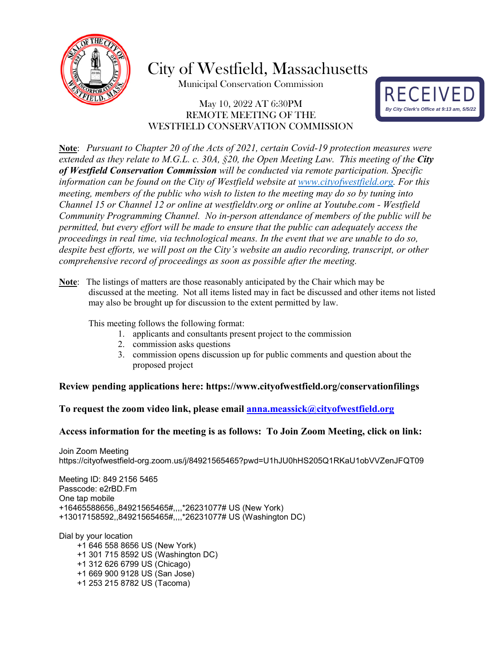

City of Westfield, Massachusetts

Municipal Conservation Commission

# May 10, 2022 AT 6:30PM REMOTE MEETING OF THE WESTFIELD CONSERVATION COMMISSION



**Note**: *Pursuant to Chapter 20 of the Acts of 2021, certain Covid-19 protection measures were extended as they relate to M.G.L. c. 30A, §20, the Open Meeting Law. This meeting of the City of Westfield Conservation Commission will be conducted via remote participation. Specific information can be found on the City of Westfield website at [www.cityofwestfield.org.](http://www.cityofwestfield.org/) For this meeting, members of the public who wish to listen to the meeting may do so by tuning into Channel 15 or Channel 12 or online at westfieldtv.org or online at Youtube.com - Westfield Community Programming Channel. No in-person attendance of members of the public will be permitted, but every effort will be made to ensure that the public can adequately access the proceedings in real time, via technological means. In the event that we are unable to do so, despite best efforts, we will post on the City's website an audio recording, transcript, or other comprehensive record of proceedings as soon as possible after the meeting.* 

**Note**: The listings of matters are those reasonably anticipated by the Chair which may be discussed at the meeting. Not all items listed may in fact be discussed and other items not listed may also be brought up for discussion to the extent permitted by law.

This meeting follows the following format:

- 1. applicants and consultants present project to the commission
- 2. commission asks questions
- 3. commission opens discussion up for public comments and question about the proposed project

### **Review pending applications here:<https://www.cityofwestfield.org/conservationfilings>**

#### **To request the zoom video link, please email [anna.meassick@cityofwestfield.org](mailto:anna.meassick@cityofwestfield.org)**

#### **Access information for the meeting is as follows: To Join Zoom Meeting, click on link:**

Join Zoom Meeting https://cityofwestfield-org.zoom.us/j/84921565465?pwd=U1hJU0hHS205Q1RKaU1obVVZenJFQT09

Meeting ID: 849 2156 5465 Passcode: e2rBD.Fm One tap mobile +16465588656,,84921565465#,,,,\*26231077# US (New York) +13017158592,,84921565465#,,,,\*26231077# US (Washington DC)

Dial by your location +1 646 558 8656 US (New York) +1 301 715 8592 US (Washington DC) +1 312 626 6799 US (Chicago) +1 669 900 9128 US (San Jose) +1 253 215 8782 US (Tacoma)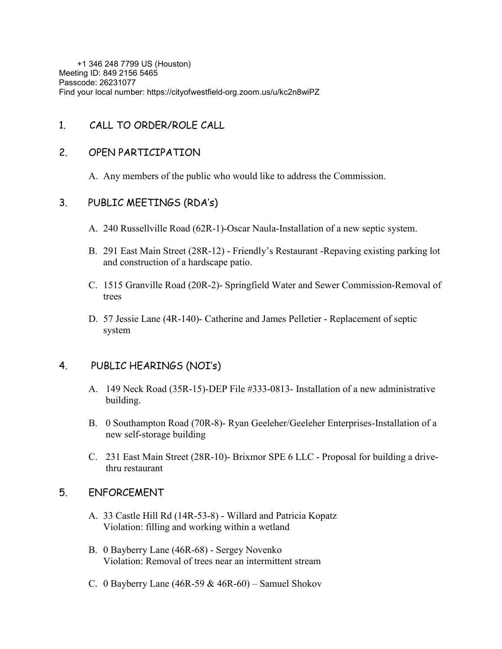+1 346 248 7799 US (Houston) Meeting ID: 849 2156 5465 Passcode: 26231077 Find your local number: https://cityofwestfield-org.zoom.us/u/kc2n8wiPZ

# 1. CALL TO ORDER/ROLE CALL

### 2. OPEN PARTICIPATION

A. Any members of the public who would like to address the Commission.

### 3. PUBLIC MEETINGS (RDA's)

- A. 240 Russellville Road (62R-1)-Oscar Naula-Installation of a new septic system.
- B. 291 East Main Street (28R-12) Friendly's Restaurant -Repaving existing parking lot and construction of a hardscape patio.
- C. 1515 Granville Road (20R-2)- Springfield Water and Sewer Commission-Removal of trees
- D. 57 Jessie Lane (4R-140)- Catherine and James Pelletier Replacement of septic system

### 4. PUBLIC HEARINGS (NOI's)

- A. 149 Neck Road (35R-15)-DEP File #333-0813- Installation of a new administrative building.
- B. 0 Southampton Road (70R-8)- Ryan Geeleher/Geeleher Enterprises-Installation of a new self-storage building
- C. 231 East Main Street (28R-10)- Brixmor SPE 6 LLC Proposal for building a drivethru restaurant

# 5. ENFORCEMENT

- A. 33 Castle Hill Rd (14R-53-8) Willard and Patricia Kopatz Violation: filling and working within a wetland
- B. 0 Bayberry Lane (46R-68) Sergey Novenko Violation: Removal of trees near an intermittent stream
- C. 0 Bayberry Lane  $(46R-59 & 46R-60)$  Samuel Shokov